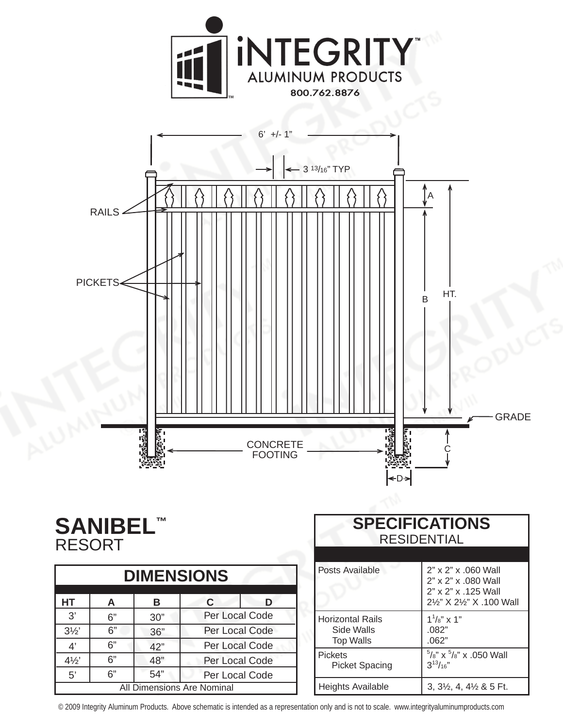



## **SANIBEL™ RESORT**

| <b>DIMENSIONS</b>                 |    |     |                |   |  |
|-----------------------------------|----|-----|----------------|---|--|
| <b>HT</b>                         | A  | в   | C              | D |  |
| 3'                                | 6" | 30" | Per Local Code |   |  |
| $3\frac{1}{2}$                    | 6" | 36" | Per Local Code |   |  |
| 4'                                | 6" | 42" | Per Local Code |   |  |
| $4\frac{1}{2}$                    | 6" | 48" | Per Local Code |   |  |
| 5'                                | 6" | 54" | Per Local Code |   |  |
| <b>All Dimensions Are Nominal</b> |    |     |                |   |  |

| <b>SPECIFICATIONS</b><br><b>RESIDENTIAL</b>               |                                                                                                |  |  |  |
|-----------------------------------------------------------|------------------------------------------------------------------------------------------------|--|--|--|
| Posts Available                                           | 2" x 2" x .060 Wall<br>2" x 2" x .080 Wall<br>2" x 2" x .125 Wall<br>21/2" X 21/2" X .100 Wall |  |  |  |
| <b>Horizontal Rails</b><br>Side Walls<br><b>Top Walls</b> | $1^{1}/s''$ x 1"<br>.082"<br>.062"                                                             |  |  |  |
| <b>Pickets</b><br><b>Picket Spacing</b>                   | $5/8$ " x $5/8$ " x .050 Wall<br>$3^{13}/16$ "                                                 |  |  |  |
| Heights Available                                         | $3, 3\frac{1}{2}, 4, 4\frac{1}{2}$ & 5 Ft.                                                     |  |  |  |

© 2009 Integrity Aluminum Products. Above schematic is intended as a representation only and is not to scale. www.integrityaluminumproducts.com